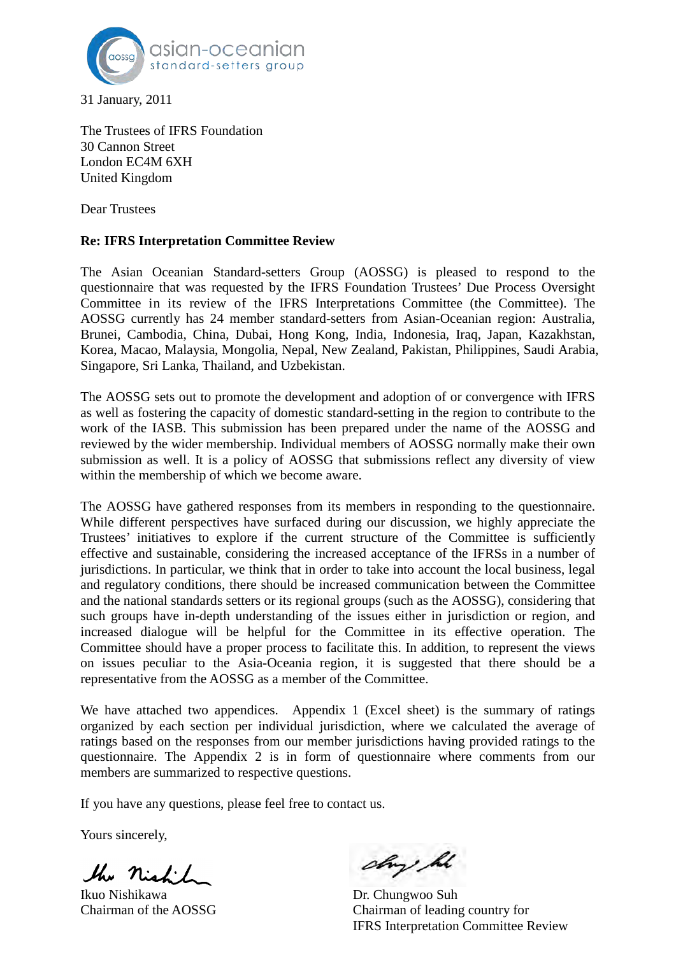

31 January, 2011

The Trustees of IFRS Foundation 30 Cannon Street London EC4M 6XH United Kingdom

Dear Trustees

## **Re: IFRS Interpretation Committee Review**

The Asian Oceanian Standard-setters Group (AOSSG) is pleased to respond to the questionnaire that was requested by the IFRS Foundation Trustees' Due Process Oversight Committee in its review of the IFRS Interpretations Committee (the Committee). The AOSSG currently has 24 member standard-setters from Asian-Oceanian region: Australia, Brunei, Cambodia, China, Dubai, Hong Kong, India, Indonesia, Iraq, Japan, Kazakhstan, Korea, Macao, Malaysia, Mongolia, Nepal, New Zealand, Pakistan, Philippines, Saudi Arabia, Singapore, Sri Lanka, Thailand, and Uzbekistan.

The AOSSG sets out to promote the development and adoption of or convergence with IFRS as well as fostering the capacity of domestic standard-setting in the region to contribute to the work of the IASB. This submission has been prepared under the name of the AOSSG and reviewed by the wider membership. Individual members of AOSSG normally make their own submission as well. It is a policy of AOSSG that submissions reflect any diversity of view within the membership of which we become aware.

The AOSSG have gathered responses from its members in responding to the questionnaire. While different perspectives have surfaced during our discussion, we highly appreciate the Trustees' initiatives to explore if the current structure of the Committee is sufficiently effective and sustainable, considering the increased acceptance of the IFRSs in a number of jurisdictions. In particular, we think that in order to take into account the local business, legal and regulatory conditions, there should be increased communication between the Committee and the national standards setters or its regional groups (such as the AOSSG), considering that such groups have in-depth understanding of the issues either in jurisdiction or region, and increased dialogue will be helpful for the Committee in its effective operation. The Committee should have a proper process to facilitate this. In addition, to represent the views on issues peculiar to the Asia-Oceania region, it is suggested that there should be a representative from the AOSSG as a member of the Committee.

We have attached two appendices. Appendix 1 (Excel sheet) is the summary of ratings organized by each section per individual jurisdiction, where we calculated the average of ratings based on the responses from our member jurisdictions having provided ratings to the questionnaire. The Appendix 2 is in form of questionnaire where comments from our members are summarized to respective questions.

If you have any questions, please feel free to contact us.

Yours sincerely,

the night

Ikuo Nishikawa Dr. Chungwoo Suh

day he

Chairman of the AOSSG Chairman of leading country for IFRS Interpretation Committee Review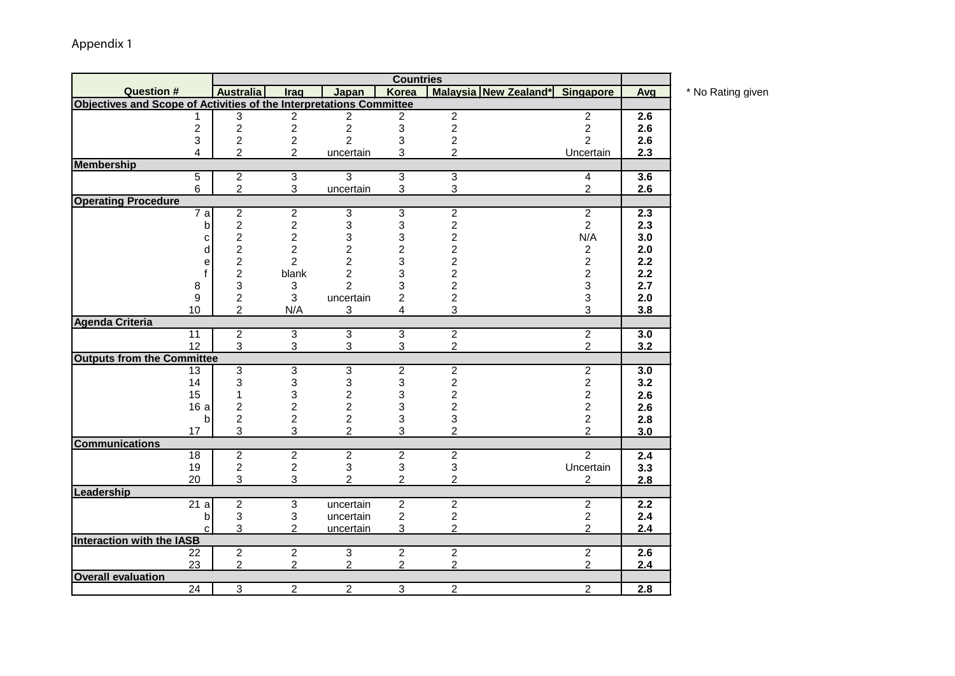|                                                                     |                         |                         |                         | <b>Countries</b>        |                           |                       |                          |                  |
|---------------------------------------------------------------------|-------------------------|-------------------------|-------------------------|-------------------------|---------------------------|-----------------------|--------------------------|------------------|
| <b>Question #</b>                                                   | <b>Australia</b>        | Iraq                    | Japan                   | Korea                   |                           | Malaysia New Zealand* | Singapore                | Avg              |
| Objectives and Scope of Activities of the Interpretations Committee |                         |                         |                         |                         |                           |                       |                          |                  |
| 1                                                                   | 3                       | $\overline{c}$          | 2                       | $\overline{c}$          | $\overline{2}$            |                       | $\overline{2}$           | 2.6              |
| $\overline{2}$                                                      | $\overline{c}$          | $\overline{c}$          | $\overline{c}$          | 3                       | $\overline{2}$            |                       | $\overline{2}$           | 2.6              |
| 3                                                                   | $\overline{2}$          | $\overline{2}$          | $\overline{2}$          | 3                       | $\overline{c}$            |                       | $\overline{2}$           | 2.6              |
| 4                                                                   | $\overline{2}$          | $\overline{2}$          | uncertain               | 3                       | $\overline{2}$            |                       | Uncertain                | 2.3              |
| <b>Membership</b>                                                   |                         |                         |                         |                         |                           |                       |                          |                  |
| 5                                                                   | $\overline{2}$          | 3                       | $\overline{3}$          | $\overline{3}$          | $\overline{3}$            |                       | $\overline{\mathcal{A}}$ | $\overline{3.6}$ |
| 6                                                                   | $\overline{2}$          | 3                       | uncertain               | 3                       | $\sqrt{3}$                |                       | $\overline{2}$           | 2.6              |
| <b>Operating Procedure</b>                                          |                         |                         |                         |                         |                           |                       |                          |                  |
| $\overline{7}$ a                                                    | $\overline{2}$          | $\overline{2}$          | 3                       | $\overline{3}$          | $\overline{2}$            |                       | $\overline{2}$           | $\overline{2.3}$ |
| b                                                                   | $\overline{c}$          | $\overline{c}$          | 3                       | 3                       | $\boldsymbol{2}$          |                       | $\overline{2}$           | 2.3              |
| С                                                                   | $\overline{c}$          | $\overline{c}$          | 3                       | 3                       | $\overline{c}$            |                       | N/A                      | 3.0              |
| d                                                                   | $\overline{\mathbf{c}}$ | $\overline{\mathbf{c}}$ | $\overline{\mathbf{c}}$ | $\overline{\mathbf{c}}$ | $\frac{2}{2}$             |                       | $\overline{\mathbf{c}}$  | 2.0              |
| е                                                                   | $\overline{2}$          | $\overline{2}$          | $\overline{2}$          | 3                       |                           |                       | $\overline{2}$           | 2.2              |
|                                                                     | $\overline{c}$          | blank                   | 2                       | 3                       | $\overline{2}$            |                       | $\overline{\mathbf{c}}$  | 2.2              |
| 8                                                                   | 3                       | 3                       | $\overline{2}$          | 3                       | $\overline{c}$            |                       | 3                        | 2.7              |
| 9                                                                   | $\overline{c}$          | 3                       | uncertain               | $\overline{2}$          | $\overline{\mathbf{c}}$   |                       | 3                        | 2.0              |
| 10                                                                  | $\overline{2}$          | N/A                     | 3                       | $\overline{4}$          | 3                         |                       | 3                        | 3.8              |
| <b>Agenda Criteria</b>                                              |                         |                         |                         |                         |                           |                       |                          |                  |
| 11                                                                  | $\overline{2}$          | $\overline{3}$          | $\overline{3}$          | $\overline{3}$          | $\overline{2}$            |                       | $\overline{2}$           | 3.0              |
| 12                                                                  | 3                       | 3                       | 3                       | 3                       | $\overline{2}$            |                       | $\overline{2}$           | 3.2              |
| <b>Outputs from the Committee</b>                                   |                         |                         |                         |                         |                           |                       |                          |                  |
| 13                                                                  | 3                       | 3                       | 3                       | $\overline{2}$          | $\overline{2}$            |                       | $\overline{2}$           | 3.0              |
| 14                                                                  | 3                       | 3                       | 3                       | 3                       | $\mathbf 2$               |                       | $\overline{\mathbf{c}}$  | 3.2              |
| 15                                                                  | 1                       | 3                       | $\overline{\mathbf{c}}$ | 3                       | $\overline{c}$            |                       | $\overline{2}$           | 2.6              |
| 16a                                                                 | $\overline{c}$          | $\overline{2}$          | $\overline{c}$          | 3                       | $\overline{c}$            |                       | $\overline{2}$           | 2.6              |
| b                                                                   | $\overline{c}$          | $\overline{c}$          | $\overline{2}$          | 3                       | 3                         |                       | $\overline{c}$           | 2.8              |
| 17                                                                  | 3                       | 3                       | $\overline{2}$          | 3                       | $\overline{2}$            |                       | $\overline{2}$           | 3.0              |
| <b>Communications</b>                                               |                         |                         |                         |                         |                           |                       |                          |                  |
| 18                                                                  | $\overline{c}$          | $\overline{2}$          | $\overline{2}$          | $\overline{2}$          | $\overline{2}$            |                       | $\overline{2}$           | $\overline{2.4}$ |
| 19                                                                  | 2                       | 2                       | 3                       | 3                       | $\ensuremath{\mathsf{3}}$ |                       | Uncertain                | 3.3              |
| 20                                                                  | 3                       | 3                       | $\overline{2}$          | $\overline{2}$          | $\overline{2}$            |                       | $\overline{2}$           | 2.8              |
| Leadership                                                          |                         |                         |                         |                         |                           |                       |                          |                  |
| $\overline{21}$ a                                                   | $\overline{2}$          | 3                       | uncertain               | $\overline{2}$          | $\overline{2}$            |                       | $\overline{2}$           | 2.2              |
| b                                                                   | 3                       | 3                       | uncertain               | $\overline{2}$          | $\boldsymbol{2}$          |                       | 2                        | 2.4              |
| C.                                                                  | 3                       | $\overline{2}$          | uncertain               | 3                       | $\overline{2}$            |                       | $\overline{2}$           | 2.4              |
| <b>Interaction with the IASB</b>                                    |                         |                         |                         |                         |                           |                       |                          |                  |
| 22                                                                  | $\overline{2}$          | $\overline{2}$          | $\overline{3}$          | $\overline{2}$          | $\overline{2}$            |                       | $\overline{2}$           | 2.6              |
| 23                                                                  | $\overline{2}$          | $\overline{2}$          | $\overline{2}$          | $\overline{2}$          | $\overline{2}$            |                       | $\overline{2}$           | 2.4              |
| <b>Overall evaluation</b>                                           |                         |                         |                         |                         |                           |                       |                          |                  |
| $\overline{24}$                                                     | 3                       | $\overline{2}$          | $\overline{2}$          | 3                       | $\overline{2}$            |                       | $\overline{2}$           | 2.8              |

**Australia Iraq Japan Korea Malaysia New Zealand\* Singapore Avg** \* No Rating given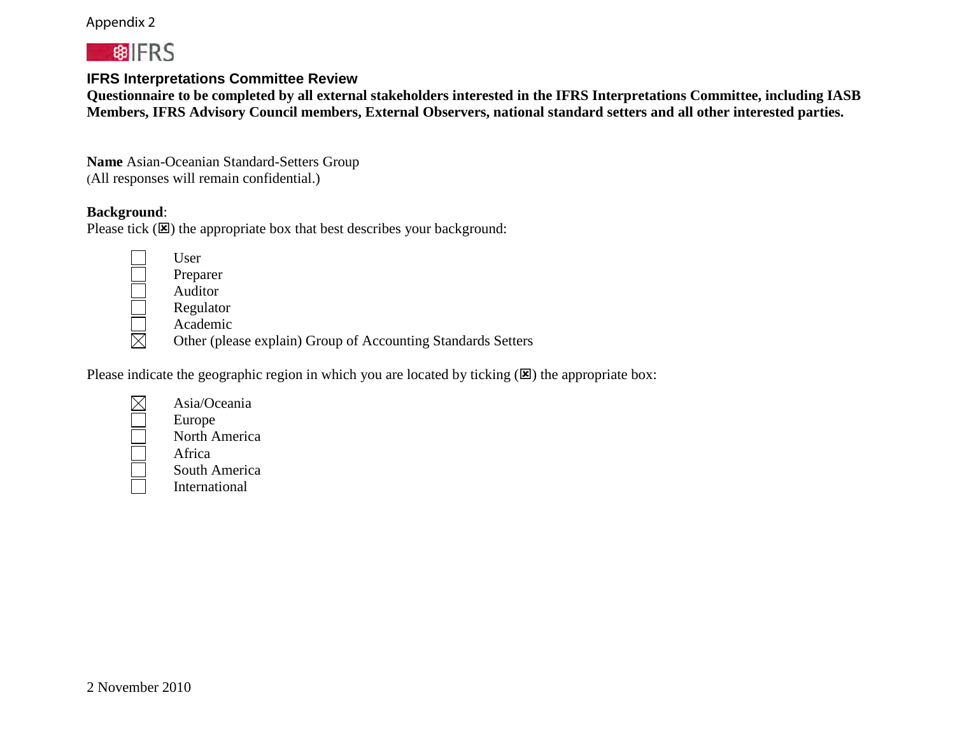## Appendix 2



## **IFRS Interpretations Committee Review**

**Questionnaire to be completed by all external stakeholders interested in the IFRS Interpretations Committee, including IASB Members, IFRS Advisory Council members, External Observers, national standard setters and all other interested parties.**

**Name** Asian-Oceanian Standard-Setters Group (All responses will remain confidential.)

## **Background**:

Please tick  $(\mathbf{X})$  the appropriate box that best describes your background:

User Preparer Auditor Regulator

Academic  $\boxtimes$ Other (please explain) Group of Accounting Standards Setters

Please indicate the geographic region in which you are located by ticking  $(\mathbf{E})$  the appropriate box:

| Asia/Oceania                       |
|------------------------------------|
| Europe                             |
| North Americ                       |
| Africa                             |
| $\mathcal{R}_{\text{out}}$ A maric |

H

orth America frica South America

International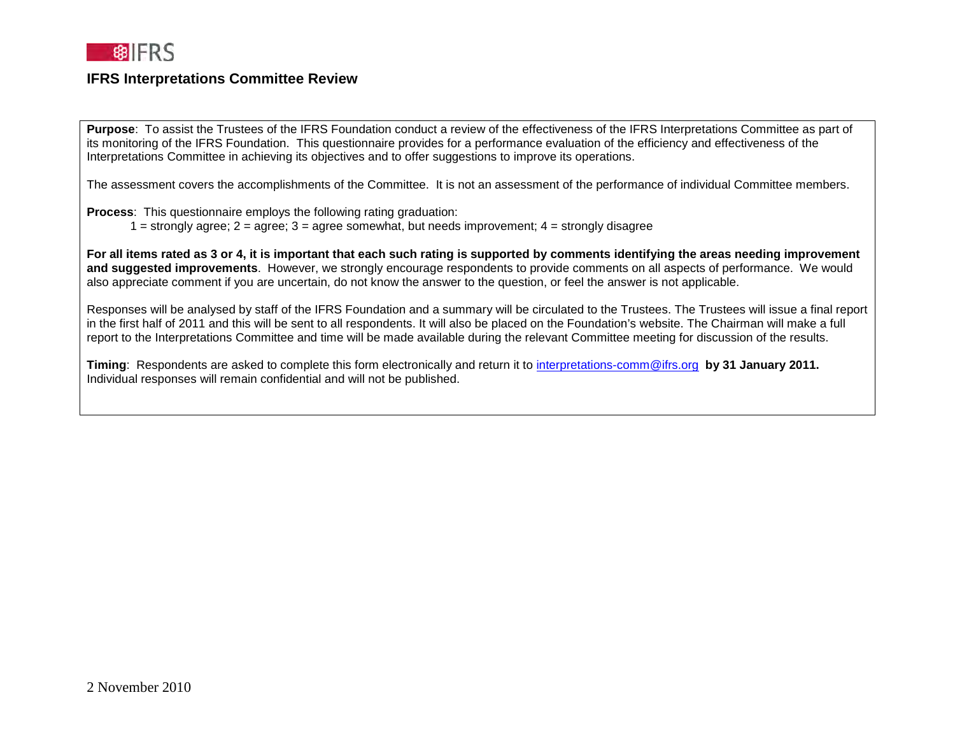

**Purpose**: To assist the Trustees of the IFRS Foundation conduct a review of the effectiveness of the IFRS Interpretations Committee as part of its monitoring of the IFRS Foundation. This questionnaire provides for a performance evaluation of the efficiency and effectiveness of the Interpretations Committee in achieving its objectives and to offer suggestions to improve its operations.

The assessment covers the accomplishments of the Committee. It is not an assessment of the performance of individual Committee members.

**Process**: This questionnaire employs the following rating graduation:

 $1 =$  strongly agree;  $2 =$  agree;  $3 =$  agree somewhat, but needs improvement;  $4 =$  strongly disagree

**For all items rated as 3 or 4, it is important that each such rating is supported by comments identifying the areas needing improvement and suggested improvements**. However, we strongly encourage respondents to provide comments on all aspects of performance. We would also appreciate comment if you are uncertain, do not know the answer to the question, or feel the answer is not applicable.

Responses will be analysed by staff of the IFRS Foundation and a summary will be circulated to the Trustees. The Trustees will issue a final report in the first half of 2011 and this will be sent to all respondents. It will also be placed on the Foundation's website. The Chairman will make a full report to the Interpretations Committee and time will be made available during the relevant Committee meeting for discussion of the results.

**Timing**: Respondents are asked to complete this form electronically and return it to [interpretations-comm@ifrs.org](mailto:interpretations-comm@ifrs.org) **by 31 January 2011.**  Individual responses will remain confidential and will not be published.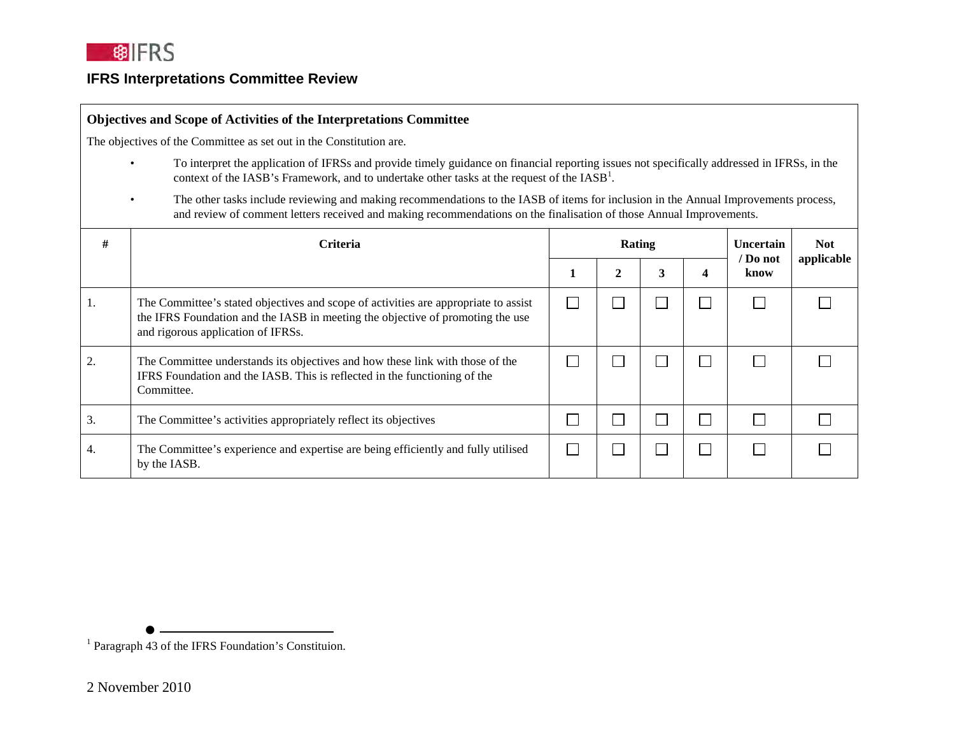

#### **Objectives and Scope of Activities of the Interpretations Committee**

The objectives of the Committee as set out in the Constitution are.

- To interpret the application of IFRSs and provide timely guidance on financial reporting issues not specifically addressed in IFRSs, in the context of the IASB's Framework, and to undertake other tasks at the request of the  $IASB<sup>1</sup>$ .
- The other tasks include reviewing and making recommendations to the IASB of items for inclusion in the Annual Improvements process, and review of comment letters received and making recommendations on the finalisation of those Annual Improvements.

| #              | <b>Criteria</b>                                                                                                                                                                                             | Rating |              |   |        | Uncertain<br>/ Do not | <b>Not</b><br>applicable |
|----------------|-------------------------------------------------------------------------------------------------------------------------------------------------------------------------------------------------------------|--------|--------------|---|--------|-----------------------|--------------------------|
|                |                                                                                                                                                                                                             | п      | $\mathbf{2}$ | 3 | 4      | know                  |                          |
|                | The Committee's stated objectives and scope of activities are appropriate to assist<br>the IFRS Foundation and the IASB in meeting the objective of promoting the use<br>and rigorous application of IFRSs. |        |              |   | $\sim$ |                       |                          |
| $\overline{2}$ | The Committee understands its objectives and how these link with those of the<br>IFRS Foundation and the IASB. This is reflected in the functioning of the<br>Committee.                                    |        |              |   | $\sim$ |                       |                          |
| 3.             | The Committee's activities appropriately reflect its objectives                                                                                                                                             |        |              |   |        |                       |                          |
| 4.             | The Committee's experience and expertise are being efficiently and fully utilised<br>by the IASB.                                                                                                           |        |              |   | $\sim$ |                       |                          |

<sup>1</sup> Paragraph 43 of the IFRS Foundation's Constituion.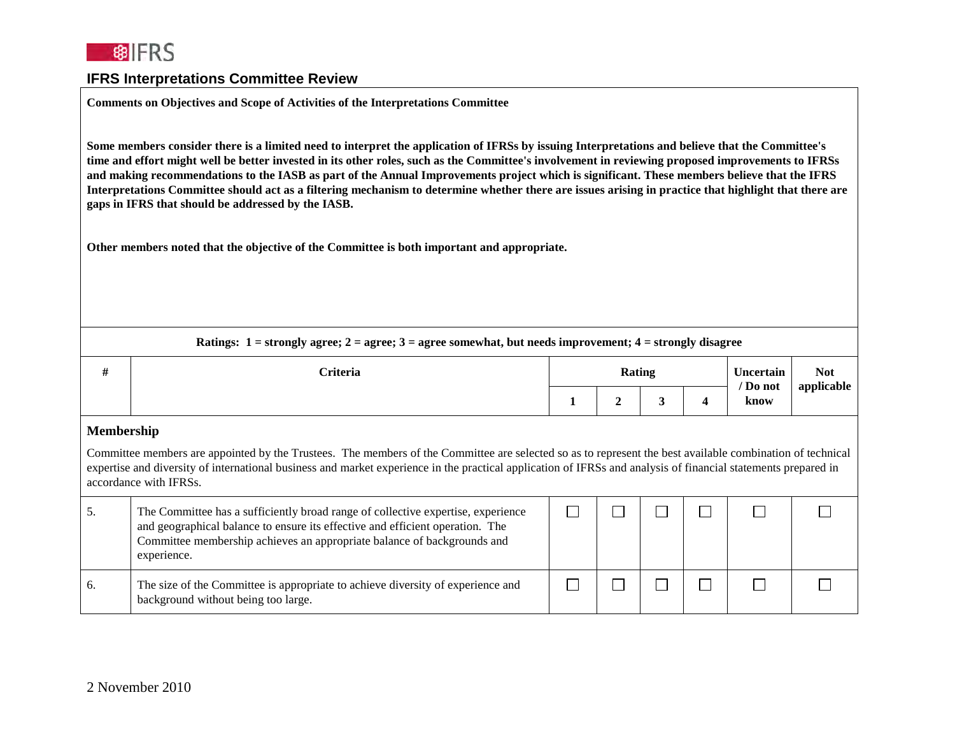

**Comments on Objectives and Scope of Activities of the Interpretations Committee**

**Some members consider there is a limited need to interpret the application of IFRSs by issuing Interpretations and believe that the Committee's time and effort might well be better invested in its other roles, such as the Committee's involvement in reviewing proposed improvements to IFRSs and making recommendations to the IASB as part of the Annual Improvements project which is significant. These members believe that the IFRS Interpretations Committee should act as a filtering mechanism to determine whether there are issues arising in practice that highlight that there are gaps in IFRS that should be addressed by the IASB.**

**Other members noted that the objective of the Committee is both important and appropriate.**

|    | Ratings: $1 =$ strongly agree; $2 =$ agree; $3 =$ agree somewhat, but needs improvement; $4 =$ strongly disagree                                                                                                                                                                                                                                      |        |              |   |                  |                  |            |  |  |  |
|----|-------------------------------------------------------------------------------------------------------------------------------------------------------------------------------------------------------------------------------------------------------------------------------------------------------------------------------------------------------|--------|--------------|---|------------------|------------------|------------|--|--|--|
| #  | <b>Criteria</b>                                                                                                                                                                                                                                                                                                                                       | Rating |              |   | <b>Uncertain</b> | <b>Not</b>       |            |  |  |  |
|    |                                                                                                                                                                                                                                                                                                                                                       |        | $\mathbf{2}$ | 3 | 4                | / Do not<br>know | applicable |  |  |  |
|    | Membership                                                                                                                                                                                                                                                                                                                                            |        |              |   |                  |                  |            |  |  |  |
|    | Committee members are appointed by the Trustees. The members of the Committee are selected so as to represent the best available combination of technical<br>expertise and diversity of international business and market experience in the practical application of IFRSs and analysis of financial statements prepared in<br>accordance with IFRSs. |        |              |   |                  |                  |            |  |  |  |
| 5. | The Committee has a sufficiently broad range of collective expertise, experience<br>and geographical balance to ensure its effective and efficient operation. The<br>Committee membership achieves an appropriate balance of backgrounds and<br>experience.                                                                                           |        |              |   |                  |                  |            |  |  |  |
| 6. | The size of the Committee is appropriate to achieve diversity of experience and<br>background without being too large.                                                                                                                                                                                                                                |        |              |   |                  |                  |            |  |  |  |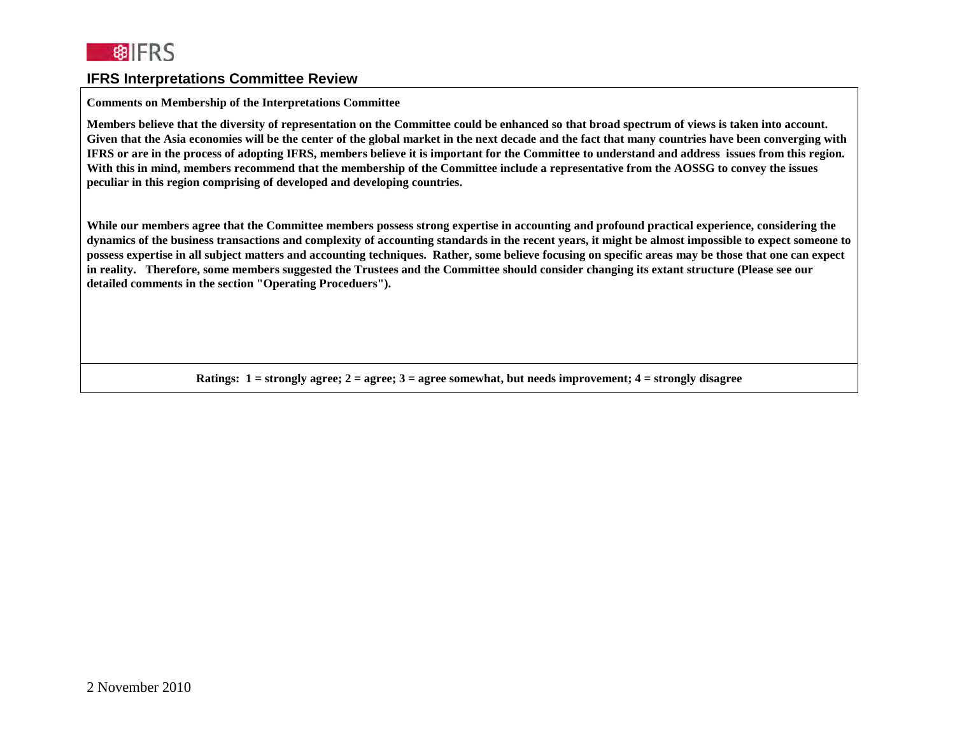

#### **Comments on Membership of the Interpretations Committee**

**Members believe that the diversity of representation on the Committee could be enhanced so that broad spectrum of views is taken into account.**  Given that the Asia economies will be the center of the global market in the next decade and the fact that many countries have been converging with **IFRS or are in the process of adopting IFRS, members believe it is important for the Committee to understand and address issues from this region. With this in mind, members recommend that the membership of the Committee include a representative from the AOSSG to convey the issues peculiar in this region comprising of developed and developing countries.** 

**While our members agree that the Committee members possess strong expertise in accounting and profound practical experience, considering the dynamics of the business transactions and complexity of accounting standards in the recent years, it might be almost impossible to expect someone to possess expertise in all subject matters and accounting techniques. Rather, some believe focusing on specific areas may be those that one can expect in reality. Therefore, some members suggested the Trustees and the Committee should consider changing its extant structure (Please see our detailed comments in the section "Operating Proceduers").** 

**Ratings: 1 = strongly agree; 2 = agree; 3 = agree somewhat, but needs improvement; 4 = strongly disagree**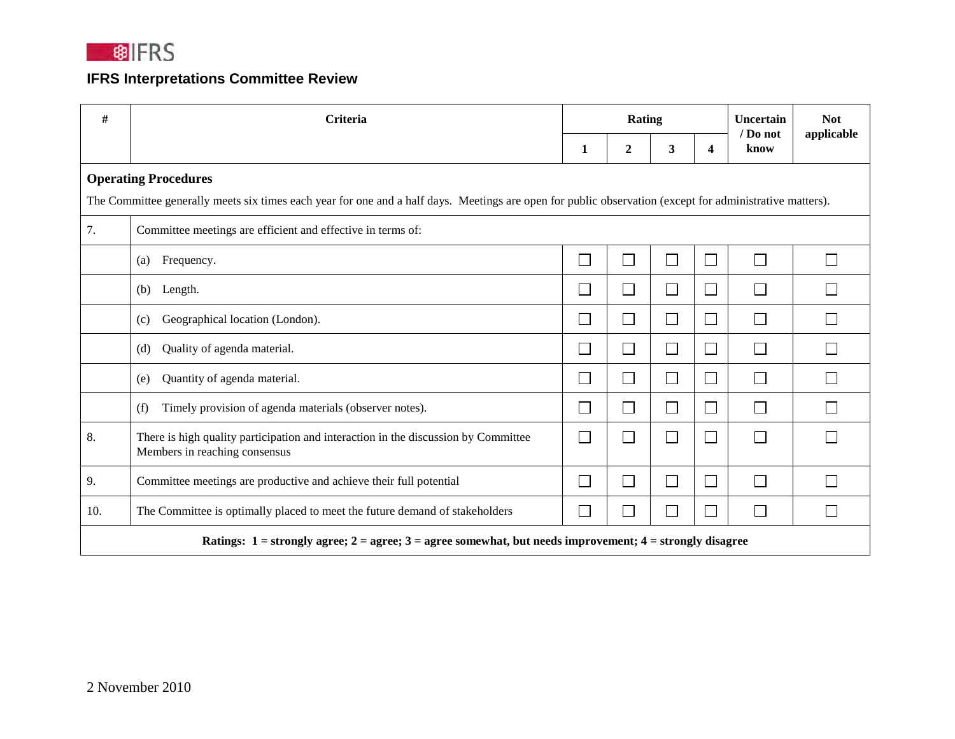

| #   | Criteria                                                                                                                                                 | Rating                      |                          |        |                             | Uncertain<br>$/$ Do not     | <b>Not</b><br>applicable |
|-----|----------------------------------------------------------------------------------------------------------------------------------------------------------|-----------------------------|--------------------------|--------|-----------------------------|-----------------------------|--------------------------|
|     |                                                                                                                                                          | 1                           | $\overline{2}$           | 3      | $\overline{\mathbf{4}}$     | know                        |                          |
|     | <b>Operating Procedures</b>                                                                                                                              |                             |                          |        |                             |                             |                          |
|     | The Committee generally meets six times each year for one and a half days. Meetings are open for public observation (except for administrative matters). |                             |                          |        |                             |                             |                          |
| 7.  | Committee meetings are efficient and effective in terms of:                                                                                              |                             |                          |        |                             |                             |                          |
|     | Frequency.<br>(a)                                                                                                                                        | $\mathcal{L}_{\mathcal{A}}$ | $\blacksquare$           | $\Box$ | ⊏                           | П                           |                          |
|     | Length.<br>(b)                                                                                                                                           |                             | $\sim$                   | $\Box$ |                             | e i                         |                          |
|     | Geographical location (London).<br>(c)                                                                                                                   | $\sim$                      | $\blacksquare$           | $\Box$ | $\Box$                      | $\Box$                      |                          |
|     | Quality of agenda material.<br>(d)                                                                                                                       |                             | $\blacksquare$           | $\Box$ | $\Box$                      | $\mathcal{L}_{\mathcal{A}}$ |                          |
|     | Quantity of agenda material.<br>(e)                                                                                                                      | $\sim$                      | $\blacksquare$           | $\Box$ | $\mathcal{L}_{\mathcal{A}}$ | $\mathcal{L}_{\mathcal{A}}$ |                          |
|     | Timely provision of agenda materials (observer notes).<br>(f)                                                                                            | $\mathcal{L}_{\mathcal{A}}$ | $\overline{\phantom{a}}$ | $\Box$ | ÷,                          | $\Box$                      |                          |
| 8.  | There is high quality participation and interaction in the discussion by Committee<br>Members in reaching consensus                                      | $\sim$                      | $\sim$                   | $\Box$ | $\overline{\phantom{a}}$    | П                           |                          |
| 9.  | Committee meetings are productive and achieve their full potential                                                                                       | $\sim$                      | $\blacksquare$           | $\Box$ | $\Box$                      | $\Box$                      |                          |
| 10. | The Committee is optimally placed to meet the future demand of stakeholders                                                                              | $\mathcal{L}_{\mathcal{A}}$ | $\blacksquare$           | $\Box$ | ⊏                           | $\Box$                      |                          |
|     | Ratings: $1 =$ strongly agree; $2 =$ agree; $3 =$ agree somewhat, but needs improvement; $4 =$ strongly disagree                                         |                             |                          |        |                             |                             |                          |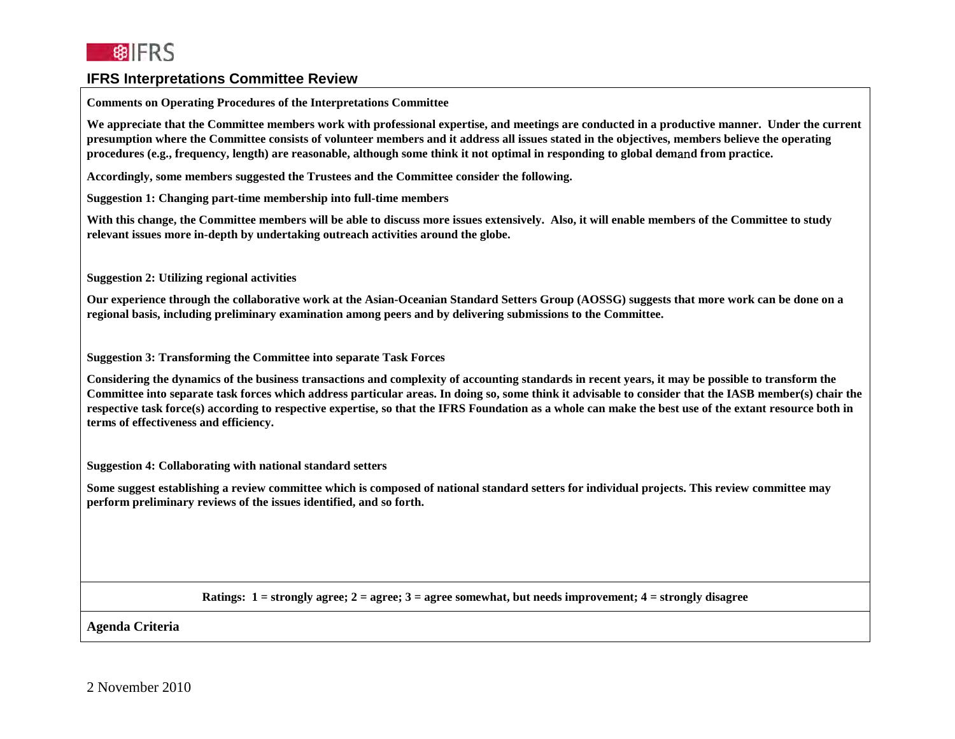

| <b>Comments on Operating Procedures of the Interpretations Committee</b>                                                                                                                                                                                                                                                                                                                                                                                                                                         |
|------------------------------------------------------------------------------------------------------------------------------------------------------------------------------------------------------------------------------------------------------------------------------------------------------------------------------------------------------------------------------------------------------------------------------------------------------------------------------------------------------------------|
| We appreciate that the Committee members work with professional expertise, and meetings are conducted in a productive manner. Under the current<br>presumption where the Committee consists of volunteer members and it address all issues stated in the objectives, members believe the operating<br>procedures (e.g., frequency, length) are reasonable, although some think it not optimal in responding to global demand from practice.                                                                      |
| Accordingly, some members suggested the Trustees and the Committee consider the following.                                                                                                                                                                                                                                                                                                                                                                                                                       |
| Suggestion 1: Changing part-time membership into full-time members                                                                                                                                                                                                                                                                                                                                                                                                                                               |
| With this change, the Committee members will be able to discuss more issues extensively. Also, it will enable members of the Committee to study<br>relevant issues more in-depth by undertaking outreach activities around the globe.                                                                                                                                                                                                                                                                            |
| <b>Suggestion 2: Utilizing regional activities</b>                                                                                                                                                                                                                                                                                                                                                                                                                                                               |
| Our experience through the collaborative work at the Asian-Oceanian Standard Setters Group (AOSSG) suggests that more work can be done on a<br>regional basis, including preliminary examination among peers and by delivering submissions to the Committee.                                                                                                                                                                                                                                                     |
| <b>Suggestion 3: Transforming the Committee into separate Task Forces</b>                                                                                                                                                                                                                                                                                                                                                                                                                                        |
| Considering the dynamics of the business transactions and complexity of accounting standards in recent years, it may be possible to transform the<br>Committee into separate task forces which address particular areas. In doing so, some think it advisable to consider that the IASB member(s) chair the<br>respective task force(s) according to respective expertise, so that the IFRS Foundation as a whole can make the best use of the extant resource both in<br>terms of effectiveness and efficiency. |
| <b>Suggestion 4: Collaborating with national standard setters</b>                                                                                                                                                                                                                                                                                                                                                                                                                                                |
| Some suggest establishing a review committee which is composed of national standard setters for individual projects. This review committee may<br>perform preliminary reviews of the issues identified, and so forth.                                                                                                                                                                                                                                                                                            |
|                                                                                                                                                                                                                                                                                                                                                                                                                                                                                                                  |
| Ratings: $1 =$ strongly agree; $2 =$ agree; $3 =$ agree somewhat, but needs improvement; $4 =$ strongly disagree                                                                                                                                                                                                                                                                                                                                                                                                 |

**Agenda Criteria**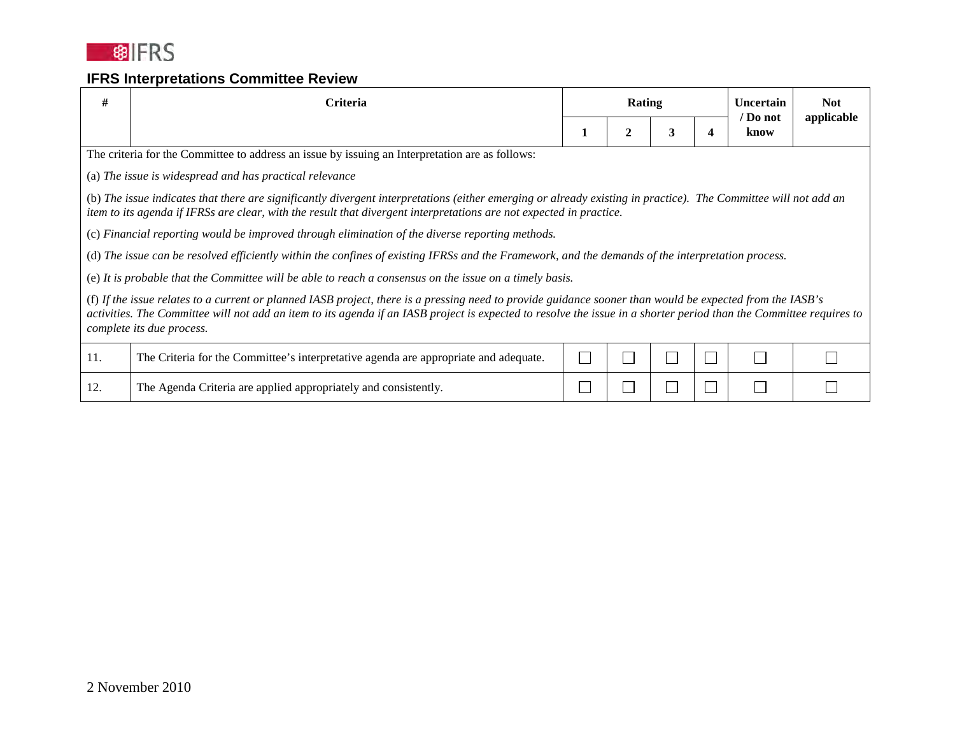

| #                                                                                                                                                                                                                                                                                                                                                             | Criteria                                                                                                                                          | Rating |   |   |   |                  |            |  |  | <b>Uncertain</b> | <b>Not</b> |
|---------------------------------------------------------------------------------------------------------------------------------------------------------------------------------------------------------------------------------------------------------------------------------------------------------------------------------------------------------------|---------------------------------------------------------------------------------------------------------------------------------------------------|--------|---|---|---|------------------|------------|--|--|------------------|------------|
|                                                                                                                                                                                                                                                                                                                                                               |                                                                                                                                                   |        | 2 | 3 | 4 | / Do not<br>know | applicable |  |  |                  |            |
|                                                                                                                                                                                                                                                                                                                                                               | The criteria for the Committee to address an issue by issuing an Interpretation are as follows:                                                   |        |   |   |   |                  |            |  |  |                  |            |
|                                                                                                                                                                                                                                                                                                                                                               | (a) The issue is widespread and has practical relevance                                                                                           |        |   |   |   |                  |            |  |  |                  |            |
| (b) The issue indicates that there are significantly divergent interpretations (either emerging or already existing in practice). The Committee will not add an<br>item to its agenda if IFRSs are clear, with the result that divergent interpretations are not expected in practice.                                                                        |                                                                                                                                                   |        |   |   |   |                  |            |  |  |                  |            |
|                                                                                                                                                                                                                                                                                                                                                               | (c) Financial reporting would be improved through elimination of the diverse reporting methods.                                                   |        |   |   |   |                  |            |  |  |                  |            |
|                                                                                                                                                                                                                                                                                                                                                               | (d) The issue can be resolved efficiently within the confines of existing IFRSs and the Framework, and the demands of the interpretation process. |        |   |   |   |                  |            |  |  |                  |            |
|                                                                                                                                                                                                                                                                                                                                                               | (e) It is probable that the Committee will be able to reach a consensus on the issue on a timely basis.                                           |        |   |   |   |                  |            |  |  |                  |            |
| (f) If the issue relates to a current or planned IASB project, there is a pressing need to provide guidance sooner than would be expected from the IASB's<br>activities. The Committee will not add an item to its agenda if an IASB project is expected to resolve the issue in a shorter period than the Committee requires to<br>complete its due process. |                                                                                                                                                   |        |   |   |   |                  |            |  |  |                  |            |
| 11.                                                                                                                                                                                                                                                                                                                                                           | The Criteria for the Committee's interpretative agenda are appropriate and adequate.                                                              |        |   |   |   |                  |            |  |  |                  |            |
| 12.                                                                                                                                                                                                                                                                                                                                                           | The Agenda Criteria are applied appropriately and consistently.                                                                                   |        |   |   |   |                  |            |  |  |                  |            |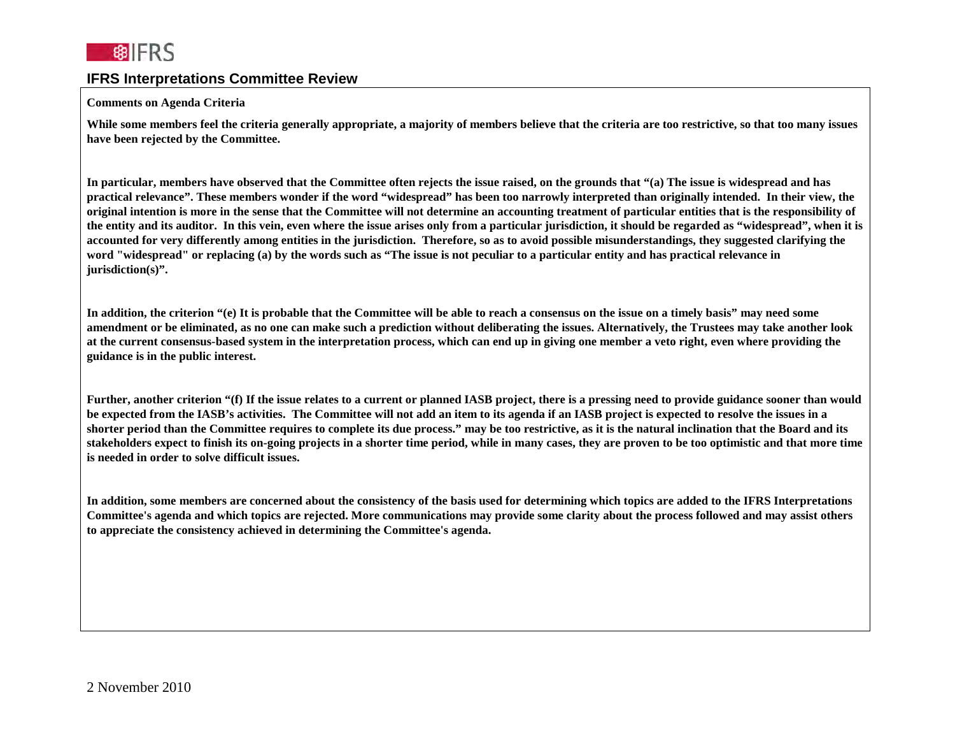

#### **Comments on Agenda Criteria**

**While some members feel the criteria generally appropriate, a majority of members believe that the criteria are too restrictive, so that too many issues have been rejected by the Committee.**

**In particular, members have observed that the Committee often rejects the issue raised, on the grounds that "(a) The issue is widespread and has practical relevance". These members wonder if the word "widespread" has been too narrowly interpreted than originally intended. In their view, the original intention is more in the sense that the Committee will not determine an accounting treatment of particular entities that is the responsibility of the entity and its auditor. In this vein, even where the issue arises only from a particular jurisdiction, it should be regarded as "widespread", when it is accounted for very differently among entities in the jurisdiction. Therefore, so as to avoid possible misunderstandings, they suggested clarifying the word "widespread" or replacing (a) by the words such as "The issue is not peculiar to a particular entity and has practical relevance in jurisdiction(s)".** 

**In addition, the criterion "(e) It is probable that the Committee will be able to reach a consensus on the issue on a timely basis" may need some amendment or be eliminated, as no one can make such a prediction without deliberating the issues. Alternatively, the Trustees may take another look at the current consensus-based system in the interpretation process, which can end up in giving one member a veto right, even where providing the guidance is in the public interest.** 

Further, another criterion "(f) If the issue relates to a current or planned IASB project, there is a pressing need to provide guidance sooner than would **be expected from the IASB's activities. The Committee will not add an item to its agenda if an IASB project is expected to resolve the issues in a shorter period than the Committee requires to complete its due process." may be too restrictive, as it is the natural inclination that the Board and its stakeholders expect to finish its on-going projects in a shorter time period, while in many cases, they are proven to be too optimistic and that more time is needed in order to solve difficult issues.** 

**In addition, some members are concerned about the consistency of the basis used for determining which topics are added to the IFRS Interpretations Committee's agenda and which topics are rejected. More communications may provide some clarity about the process followed and may assist others to appreciate the consistency achieved in determining the Committee's agenda.**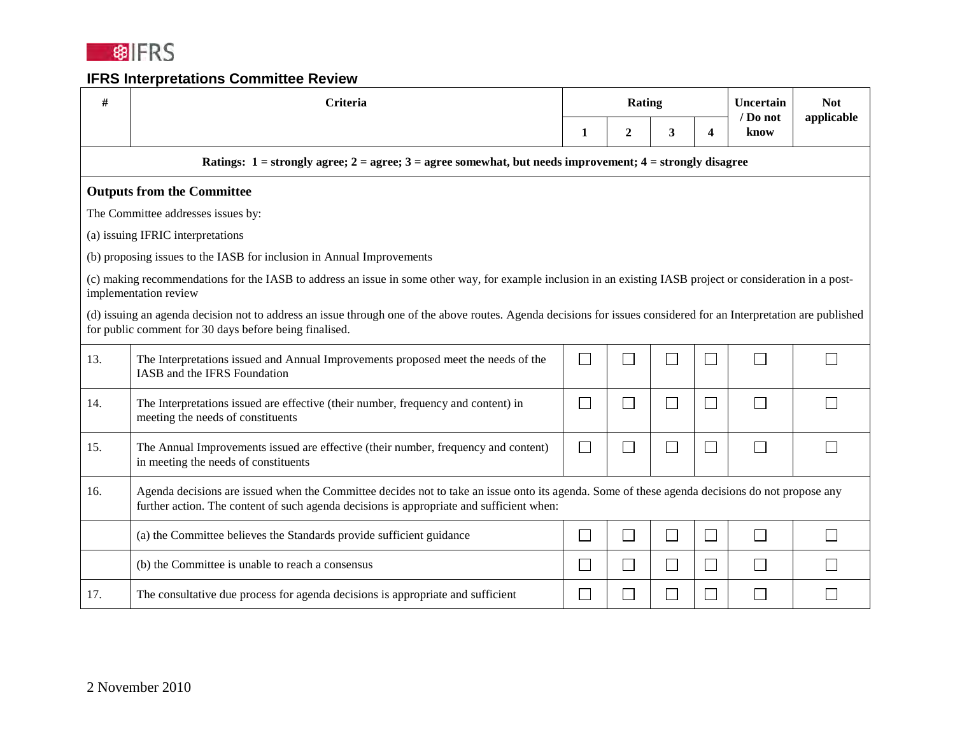

| #   | <b>Criteria</b>                                                                                                                                                                                                                            | <b>Rating</b> |              |                             |                | Uncertain<br>/ Do not | <b>Not</b><br>applicable |
|-----|--------------------------------------------------------------------------------------------------------------------------------------------------------------------------------------------------------------------------------------------|---------------|--------------|-----------------------------|----------------|-----------------------|--------------------------|
|     |                                                                                                                                                                                                                                            | 1             | $\mathbf{2}$ | 3                           | 4              | know                  |                          |
|     | Ratings: $1 =$ strongly agree; $2 =$ agree; $3 =$ agree somewhat, but needs improvement; $4 =$ strongly disagree                                                                                                                           |               |              |                             |                |                       |                          |
|     | <b>Outputs from the Committee</b>                                                                                                                                                                                                          |               |              |                             |                |                       |                          |
|     | The Committee addresses issues by:                                                                                                                                                                                                         |               |              |                             |                |                       |                          |
|     | (a) issuing IFRIC interpretations                                                                                                                                                                                                          |               |              |                             |                |                       |                          |
|     | (b) proposing issues to the IASB for inclusion in Annual Improvements                                                                                                                                                                      |               |              |                             |                |                       |                          |
|     | (c) making recommendations for the IASB to address an issue in some other way, for example inclusion in an existing IASB project or consideration in a post-<br>implementation review                                                      |               |              |                             |                |                       |                          |
|     | (d) issuing an agenda decision not to address an issue through one of the above routes. Agenda decisions for issues considered for an Interpretation are published<br>for public comment for 30 days before being finalised.               |               |              |                             |                |                       |                          |
| 13. | The Interpretations issued and Annual Improvements proposed meet the needs of the<br>IASB and the IFRS Foundation                                                                                                                          | $\Box$        | $\mathbf{L}$ | Ξ                           | $\blacksquare$ | $\mathbf{L}$          |                          |
| 14. | The Interpretations issued are effective (their number, frequency and content) in<br>meeting the needs of constituents                                                                                                                     | $\Box$        | $\Box$       | $\mathcal{L}_{\mathcal{A}}$ | $\Box$         | $\Box$                |                          |
| 15. | The Annual Improvements issued are effective (their number, frequency and content)<br>in meeting the needs of constituents                                                                                                                 | $\Box$        | $\Box$       | a<br>M                      | $\sim$         | $\Box$                |                          |
| 16. | Agenda decisions are issued when the Committee decides not to take an issue onto its agenda. Some of these agenda decisions do not propose any<br>further action. The content of such agenda decisions is appropriate and sufficient when: |               |              |                             |                |                       |                          |
|     | (a) the Committee believes the Standards provide sufficient guidance                                                                                                                                                                       | $\Box$        | $\Box$       | $\Box$                      | $\Box$         | $\Box$                |                          |
|     | (b) the Committee is unable to reach a consensus                                                                                                                                                                                           | $\Box$        | $\Box$       | $\Box$                      | П              | П                     |                          |
| 17. | The consultative due process for agenda decisions is appropriate and sufficient                                                                                                                                                            | $\Box$        | $\Box$       | $\mathcal{L}_{\mathcal{A}}$ |                | $\mathbf{I}$          |                          |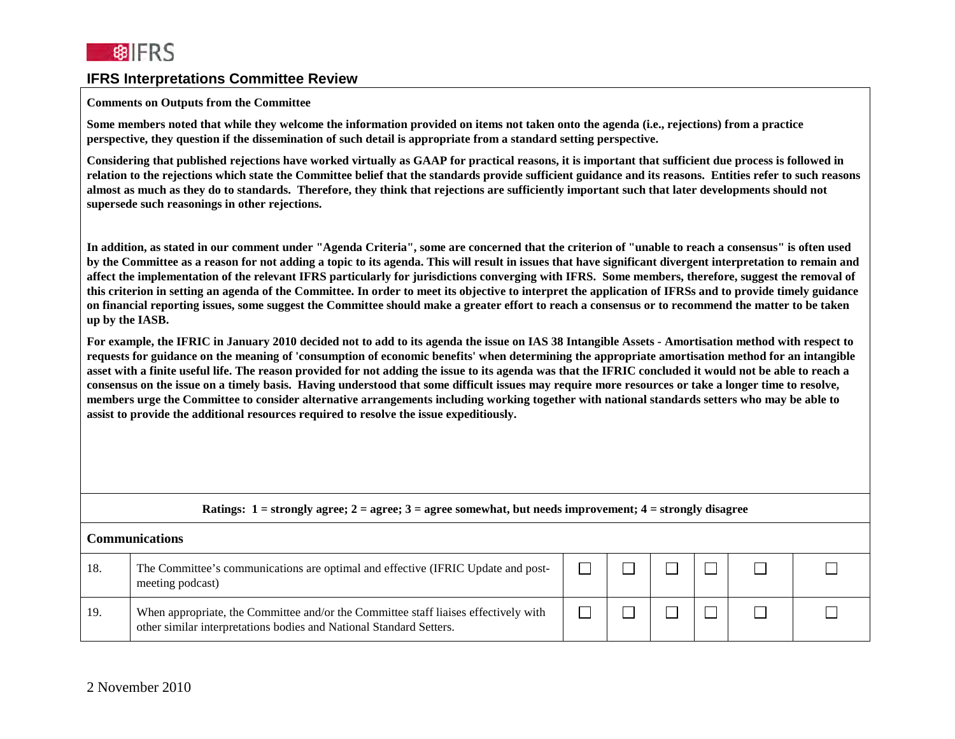#### **Comments on Outputs from the Committee**

**Some members noted that while they welcome the information provided on items not taken onto the agenda (i.e., rejections) from a practice perspective, they question if the dissemination of such detail is appropriate from a standard setting perspective.**

**Considering that published rejections have worked virtually as GAAP for practical reasons, it is important that sufficient due process is followed in relation to the rejections which state the Committee belief that the standards provide sufficient guidance and its reasons. Entities refer to such reasons almost as much as they do to standards. Therefore, they think that rejections are sufficiently important such that later developments should not supersede such reasonings in other rejections.** 

**In addition, as stated in our comment under "Agenda Criteria", some are concerned that the criterion of "unable to reach a consensus" is often used by the Committee as a reason for not adding a topic to its agenda. This will result in issues that have significant divergent interpretation to remain and affect the implementation of the relevant IFRS particularly for jurisdictions converging with IFRS. Some members, therefore, suggest the removal of this criterion in setting an agenda of the Committee. In order to meet its objective to interpret the application of IFRSs and to provide timely guidance on financial reporting issues, some suggest the Committee should make a greater effort to reach a consensus or to recommend the matter to be taken up by the IASB.** 

**For example, the IFRIC in January 2010 decided not to add to its agenda the issue on IAS 38 Intangible Assets - Amortisation method with respect to requests for guidance on the meaning of 'consumption of economic benefits' when determining the appropriate amortisation method for an intangible asset with a finite useful life. The reason provided for not adding the issue to its agenda was that the IFRIC concluded it would not be able to reach a consensus on the issue on a timely basis. Having understood that some difficult issues may require more resources or take a longer time to resolve, members urge the Committee to consider alternative arrangements including working together with national standards setters who may be able to assist to provide the additional resources required to resolve the issue expeditiously.**

|     | Ratings: $1 =$ strongly agree; $2 =$ agree; $3 =$ agree somewhat, but needs improvement; $4 =$ strongly disagree                                           |  |  |  |  |  |  |  |
|-----|------------------------------------------------------------------------------------------------------------------------------------------------------------|--|--|--|--|--|--|--|
|     | Communications                                                                                                                                             |  |  |  |  |  |  |  |
| 18. | The Committee's communications are optimal and effective (IFRIC Update and post-<br>meeting podcast)                                                       |  |  |  |  |  |  |  |
| 19. | When appropriate, the Committee and/or the Committee staff liaises effectively with<br>other similar interpretations bodies and National Standard Setters. |  |  |  |  |  |  |  |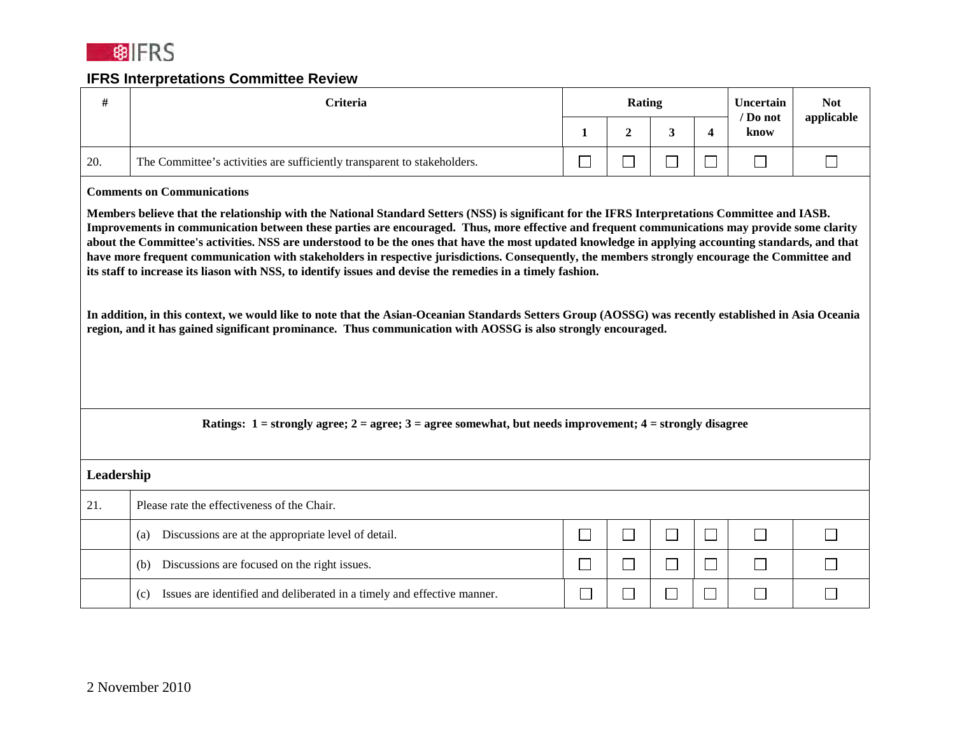

| #          | <b>Criteria</b>                                                                                                                                                                                                                                                                                                                                                                                                                                                                                                                                                                                                                                                                                                                                                                                                                                                                                                                                                                                | Rating |                             |                             | Uncertain<br>/ Do not | <b>Not</b><br>applicable |        |
|------------|------------------------------------------------------------------------------------------------------------------------------------------------------------------------------------------------------------------------------------------------------------------------------------------------------------------------------------------------------------------------------------------------------------------------------------------------------------------------------------------------------------------------------------------------------------------------------------------------------------------------------------------------------------------------------------------------------------------------------------------------------------------------------------------------------------------------------------------------------------------------------------------------------------------------------------------------------------------------------------------------|--------|-----------------------------|-----------------------------|-----------------------|--------------------------|--------|
|            |                                                                                                                                                                                                                                                                                                                                                                                                                                                                                                                                                                                                                                                                                                                                                                                                                                                                                                                                                                                                | 1      | $\overline{2}$              | 3                           | 4                     | know                     |        |
| 20.        | The Committee's activities are sufficiently transparent to stakeholders.                                                                                                                                                                                                                                                                                                                                                                                                                                                                                                                                                                                                                                                                                                                                                                                                                                                                                                                       | $\Box$ | $\Box$                      | $\mathcal{L}_{\mathcal{A}}$ | $\Box$                | $\Box$                   | $\Box$ |
|            | <b>Comments on Communications</b>                                                                                                                                                                                                                                                                                                                                                                                                                                                                                                                                                                                                                                                                                                                                                                                                                                                                                                                                                              |        |                             |                             |                       |                          |        |
|            | Members believe that the relationship with the National Standard Setters (NSS) is significant for the IFRS Interpretations Committee and IASB.<br>Improvements in communication between these parties are encouraged. Thus, more effective and frequent communications may provide some clarity<br>about the Committee's activities. NSS are understood to be the ones that have the most updated knowledge in applying accounting standards, and that<br>have more frequent communication with stakeholders in respective jurisdictions. Consequently, the members strongly encourage the Committee and<br>its staff to increase its liason with NSS, to identify issues and devise the remedies in a timely fashion.<br>In addition, in this context, we would like to note that the Asian-Oceanian Standards Setters Group (AOSSG) was recently established in Asia Oceania<br>region, and it has gained significant prominance. Thus communication with AOSSG is also strongly encouraged. |        |                             |                             |                       |                          |        |
|            | Ratings: $1 =$ strongly agree; $2 =$ agree; $3 =$ agree somewhat, but needs improvement; $4 =$ strongly disagree                                                                                                                                                                                                                                                                                                                                                                                                                                                                                                                                                                                                                                                                                                                                                                                                                                                                               |        |                             |                             |                       |                          |        |
| Leadership |                                                                                                                                                                                                                                                                                                                                                                                                                                                                                                                                                                                                                                                                                                                                                                                                                                                                                                                                                                                                |        |                             |                             |                       |                          |        |
| 21.        | Please rate the effectiveness of the Chair.                                                                                                                                                                                                                                                                                                                                                                                                                                                                                                                                                                                                                                                                                                                                                                                                                                                                                                                                                    |        |                             |                             |                       |                          |        |
|            | Discussions are at the appropriate level of detail.<br>(a)                                                                                                                                                                                                                                                                                                                                                                                                                                                                                                                                                                                                                                                                                                                                                                                                                                                                                                                                     | $\Box$ | $\mathcal{L}_{\mathcal{A}}$ | $\Box$                      | $\Box$                | $\Box$                   |        |
|            | Discussions are focused on the right issues.<br>(b)                                                                                                                                                                                                                                                                                                                                                                                                                                                                                                                                                                                                                                                                                                                                                                                                                                                                                                                                            | $\Box$ | $\Box$                      | $\Box$                      | $\Box$                | $\vert \ \ \vert$        |        |
|            | Issues are identified and deliberated in a timely and effective manner.<br>(c)                                                                                                                                                                                                                                                                                                                                                                                                                                                                                                                                                                                                                                                                                                                                                                                                                                                                                                                 | $\Box$ | $\mathcal{L}_{\mathcal{A}}$ | $\Box$                      |                       | $\mathbf{r}$             |        |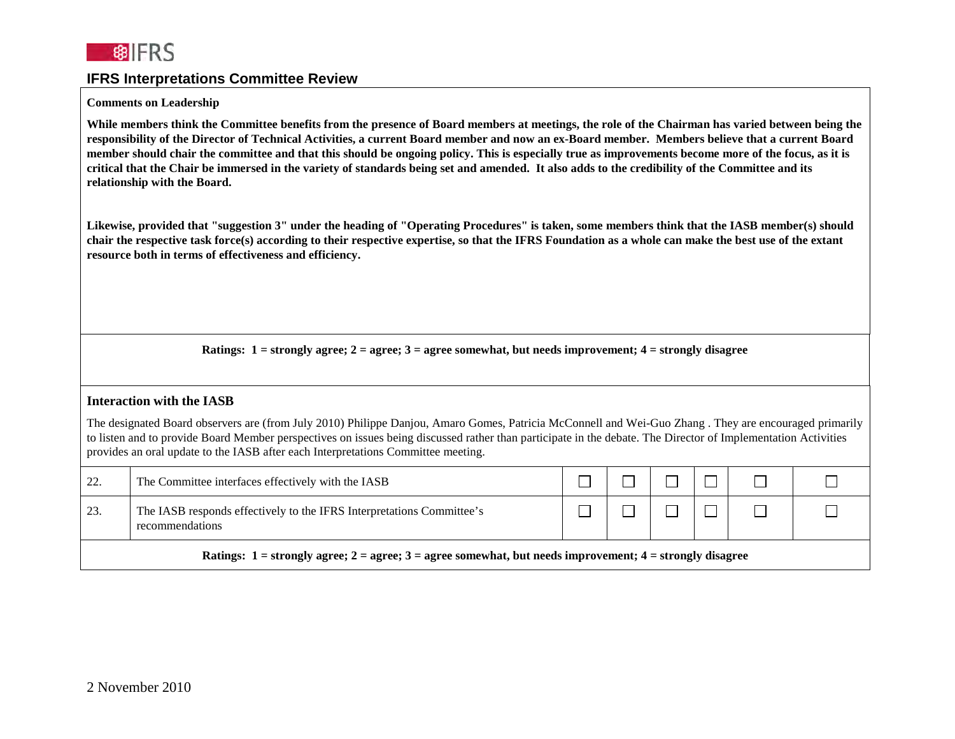

#### **Comments on Leadership**

**While members think the Committee benefits from the presence of Board members at meetings, the role of the Chairman has varied between being the responsibility of the Director of Technical Activities, a current Board member and now an ex-Board member. Members believe that a current Board member should chair the committee and that this should be ongoing policy. This is especially true as improvements become more of the focus, as it is critical that the Chair be immersed in the variety of standards being set and amended. It also adds to the credibility of the Committee and its relationship with the Board.**

**Likewise, provided that "suggestion 3" under the heading of "Operating Procedures" is taken, some members think that the IASB member(s) should chair the respective task force(s) according to their respective expertise, so that the IFRS Foundation as a whole can make the best use of the extant resource both in terms of effectiveness and efficiency.** 

**Ratings: 1 = strongly agree; 2 = agree; 3 = agree somewhat, but needs improvement; 4 = strongly disagree**

#### **Interaction with the IASB**

The designated Board observers are (from July 2010) Philippe Danjou, Amaro Gomes, Patricia McConnell and Wei-Guo Zhang . They are encouraged primarily to listen and to provide Board Member perspectives on issues being discussed rather than participate in the debate. The Director of Implementation Activities provides an oral update to the IASB after each Interpretations Committee meeting.

| 22.                                                                                                              | The Committee interfaces effectively with the IASB                                       |  |  |  |  |  |  |
|------------------------------------------------------------------------------------------------------------------|------------------------------------------------------------------------------------------|--|--|--|--|--|--|
| 23.                                                                                                              | The IASB responds effectively to the IFRS Interpretations Committee's<br>recommendations |  |  |  |  |  |  |
| Ratings: $1 =$ strongly agree; $2 =$ agree; $3 =$ agree somewhat, but needs improvement; $4 =$ strongly disagree |                                                                                          |  |  |  |  |  |  |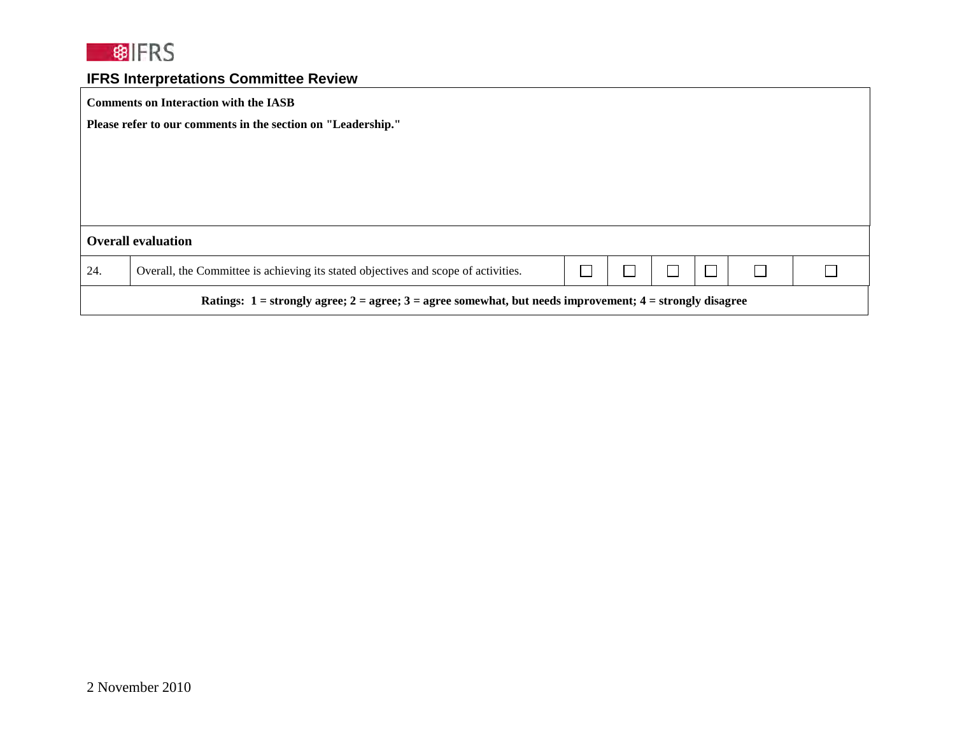

| <b>Comments on Interaction with the IASB</b>                                                                     |                                                                                    |  |  |  |        |  |  |
|------------------------------------------------------------------------------------------------------------------|------------------------------------------------------------------------------------|--|--|--|--------|--|--|
| Please refer to our comments in the section on "Leadership."                                                     |                                                                                    |  |  |  |        |  |  |
|                                                                                                                  |                                                                                    |  |  |  |        |  |  |
|                                                                                                                  |                                                                                    |  |  |  |        |  |  |
|                                                                                                                  |                                                                                    |  |  |  |        |  |  |
|                                                                                                                  |                                                                                    |  |  |  |        |  |  |
| <b>Overall evaluation</b>                                                                                        |                                                                                    |  |  |  |        |  |  |
| 24.                                                                                                              | Overall, the Committee is achieving its stated objectives and scope of activities. |  |  |  | $\Box$ |  |  |
| Ratings: $1 =$ strongly agree; $2 =$ agree; $3 =$ agree somewhat, but needs improvement; $4 =$ strongly disagree |                                                                                    |  |  |  |        |  |  |